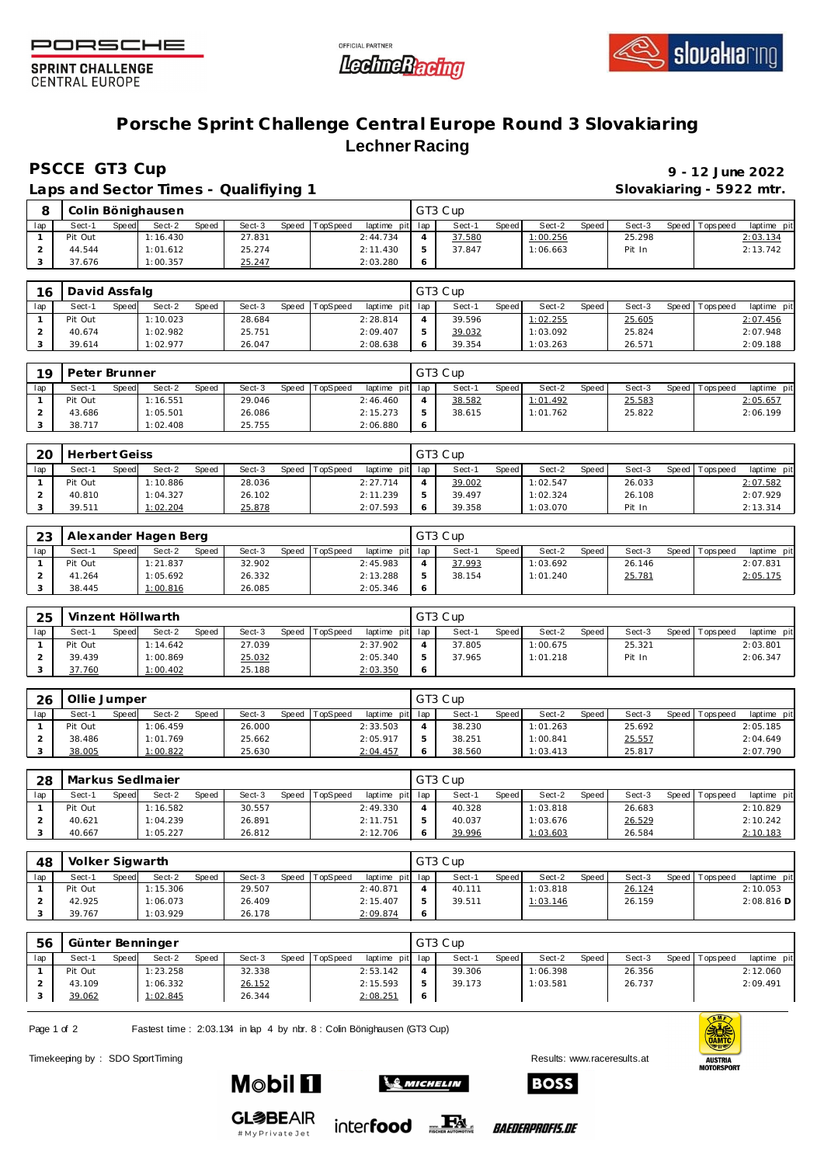





**SPRINT CHALLENGE CENTRAL EUROPE** 

## **Porsche Sprint Challenge Central Europe Round 3 Slovakiaring Lechner Racing**

**PSCCE GT3 Cup 9 - 12 June 2022**

Laps and Sector Times - Qualifiying 1

|         | Slovakiaring - 5922 mtr. |
|---------|--------------------------|
| GT3 Cup |                          |

| $\circ$ |         |       | Colin Bönighausen |       |        |       |          |                 | GT3 Cup |       |          |       |        |                |             |
|---------|---------|-------|-------------------|-------|--------|-------|----------|-----------------|---------|-------|----------|-------|--------|----------------|-------------|
| lap     | Sect-1  | Speed | Sect-2            | Speed | Sect-3 | Speed | TopSpeed | laptime pit lap | Sect-1  | Speed | Sect-2   | Speed | Sect-3 | Speed Topspeed | laptime pit |
|         | Pit Out |       | 1:16.430          |       | 27.831 |       |          | 2:44.734        | 37.580  |       | 1:00.256 |       | 25.298 |                | 2:03.134    |
|         | 44.544  |       | 1:01.612          |       | 25.274 |       |          | 2:11.430        | 37.847  |       | 1:06.663 |       | Pit In |                | 2:13.742    |
|         | 37.676  |       | 1:00.357          |       | 25.247 |       |          | 2:03.280        |         |       |          |       |        |                |             |

| 16  | David Assfalg |       |          |       |        |       |          |                 |    | GT3 Cup |              |          |       |        |                 |             |
|-----|---------------|-------|----------|-------|--------|-------|----------|-----------------|----|---------|--------------|----------|-------|--------|-----------------|-------------|
| lap | Sect-1        | Speed | Sect-2   | Speed | Sect-3 | Speed | TopSpeed | laptime pit lap |    | Sect-1  | <b>Speed</b> | Sect-2   | Speed | Sect-3 | Speed Tops peed | laptime pit |
|     | Pit Out       |       | 1:10.023 |       | 28.684 |       |          | 2:28.814        |    | 39.596  |              | 1:02.255 |       | 25.605 |                 | 2:07.456    |
|     | 40.674        |       | 1:02.982 |       | 25.751 |       |          | 2:09.407        | ь. | 39.032  |              | 1:03.092 |       | 25.824 |                 | 2:07.948    |
|     | 39.614        |       | 1:02.977 |       | 26.047 |       |          | 2:08.638        | 6  | 39.354  |              | 1:03.263 |       | 26.571 |                 | 2:09.188    |

| 19  | Peter Brunner |       |          |       |        |       |          |                 |            | GT3 Cup |              |          |       |        |                 |             |
|-----|---------------|-------|----------|-------|--------|-------|----------|-----------------|------------|---------|--------------|----------|-------|--------|-----------------|-------------|
| lap | Sect-1        | Speed | Sect-2   | Speed | Sect-3 | Speed | TopSpeed | laptime pit lap |            | Sect-   | <b>Speed</b> | Sect-2   | Speed | Sect-3 | Speed Tops peed | laptime pit |
|     | Pit Out       |       | 1:16.551 |       | 29.046 |       |          | 2:46.460        |            | 38.582  |              | 1:01.492 |       | 25.583 |                 | 2:05.657    |
|     | 43.686        |       | 1:05.501 |       | 26.086 |       |          | 2:15.273        |            | 38.615  |              | 1:01.762 |       | 25.822 |                 | 2:06.199    |
|     | 38.717        |       | 1:02.408 |       | 25.755 |       |          | 2:06.880        | $\epsilon$ |         |              |          |       |        |                 |             |

| 20  | Herbert Geiss |       |          |       |        |       |          |                 | GT3 Cup |              |          |       |        |                   |             |
|-----|---------------|-------|----------|-------|--------|-------|----------|-----------------|---------|--------------|----------|-------|--------|-------------------|-------------|
| lap | Sect-1        | Speed | Sect-2   | Speed | Sect-3 | Speed | TopSpeed | laptime pit lap | Sect-1  | <b>Speed</b> | Sect-2   | Speed | Sect-3 | Speed   Tops peed | laptime pit |
|     | Pit Out       |       | 1:10.886 |       | 28.036 |       |          | 2:27.714        | 39.002  |              | 1:02.547 |       | 26.033 |                   | 2:07.582    |
|     | 40.810        |       | 1:04.327 |       | 26.102 |       |          | 2:11.239        | 39.497  |              | 1:02.324 |       | 26.108 |                   | 2:07.929    |
|     | 39.511        |       | 1:02.204 |       | 25.878 |       |          | 2:07.593        | 39.358  |              | 1:03.070 |       | Pit In |                   | 2:13.314    |

| 23  |         |       | Alexander Hagen Berg |       |        |                |                 | GT3 Cup |              |          |       |        |                 |             |
|-----|---------|-------|----------------------|-------|--------|----------------|-----------------|---------|--------------|----------|-------|--------|-----------------|-------------|
| lap | Sect-1  | Speed | Sect-2               | Speed | Sect-3 | Speed TopSpeed | laptime pit lap | Sect-1  | <b>Speed</b> | Sect-2   | Speed | Sect-3 | Speed Tops peed | laptime pit |
|     | Pit Out |       | 1:21.837             |       | 32.902 |                | 2:45.983        | 37.993  |              | 1:03.692 |       | 26.146 |                 | 2:07.831    |
|     | 41.264  |       | 1:05.692             |       | 26.332 |                | 2:13.288        | 38.154  |              | 1:01.240 |       | 25.781 |                 | 2:05.175    |
|     | 38.445  |       | 1:00.816             |       | 26.085 |                | 2:05.346        |         |              |          |       |        |                 |             |

|     | 25 |         |       | Vinzent Höllwarth |       |        |       |          |                 |         | GT3 Cup |              |          |       |        |       |           |             |  |
|-----|----|---------|-------|-------------------|-------|--------|-------|----------|-----------------|---------|---------|--------------|----------|-------|--------|-------|-----------|-------------|--|
| lap |    | Sect-1  | Speed | Sect-2            | Speed | Sect-3 | Speed | TopSpeed | laptime pit lap |         | Sect-   | <b>Speed</b> | Sect-2   | Speed | Sect-3 | Speed | Tops peed | laptime pit |  |
|     |    | Pit Out |       | 1:14.642          |       | 27.039 |       |          | 2:37.902        |         | 37.805  |              | 1:00.675 |       | 25.321 |       |           | 2:03.801    |  |
|     |    | 39.439  |       | 1:00.869          |       | 25.032 |       |          | 2:05.340        |         | 37.965  |              | 1:01.218 |       | Pit In |       |           | 2:06.347    |  |
|     |    | 37.760  |       | 1:00.402          |       | 25.188 |       |          | 2:03.350        | $\circ$ |         |              |          |       |        |       |           |             |  |

| 26  | Ollie Jumper |       |          |              |        |       |          |                 | GT3 Cup |              |          |       |        |                 |             |
|-----|--------------|-------|----------|--------------|--------|-------|----------|-----------------|---------|--------------|----------|-------|--------|-----------------|-------------|
| lap | Sect-1       | Speed | Sect-2   | <b>Speed</b> | Sect-3 | Speed | TopSpeed | laptime pit lap | Sect-   | <b>Speed</b> | Sect-2   | Speed | Sect-3 | Speed Tops peed | laptime pit |
|     | Pit Out      |       | 1:06.459 |              | 26.000 |       |          | 2:33.503        | 38.230  |              | 1:01.263 |       | 25.692 |                 | 2:05.185    |
|     | 38.486       |       | 1:01.769 |              | 25.662 |       |          | 2:05.917        | 38.251  |              | 1:00.841 |       | 25.557 |                 | 2:04.649    |
|     | 38.005       |       | 1:00.822 |              | 25.630 |       |          | 2:04.457        | 38.560  |              | 1:03.413 |       | 25.817 |                 | 2:07.790    |

| 28  |         |       | Markus SedImajer |       |        |       |          |                 | GT3 Cup |              |          |       |        |                 |             |
|-----|---------|-------|------------------|-------|--------|-------|----------|-----------------|---------|--------------|----------|-------|--------|-----------------|-------------|
| lap | Sect-1  | Speed | Sect-2           | Speed | Sect-3 | Speed | TopSpeed | laptime pit lap | Sect-1  | <b>Speed</b> | Sect-2   | Speed | Sect-3 | Speed Tops peed | laptime pit |
|     | Pit Out |       | 1:16.582         |       | 30.557 |       |          | 2:49.330        | 40.328  |              | 1:03.818 |       | 26.683 |                 | 2:10.829    |
|     | 40.621  |       | 1:04.239         |       | 26.891 |       |          | 2:11.751        | 40.037  |              | 1:03.676 |       | 26.529 |                 | 2:10.242    |
|     | 40.667  |       | 1:05.227         |       | 26.812 |       |          | 2:12.706        | 39.996  |              | 1:03.603 |       | 26.584 |                 | 2:10.183    |

| 48  | Volker Sigwarth |       |          |       |        |       |          |                 | GT3 Cup |              |          |       |        |                 |              |
|-----|-----------------|-------|----------|-------|--------|-------|----------|-----------------|---------|--------------|----------|-------|--------|-----------------|--------------|
| lap | Sect-′          | Speed | Sect-2   | Speed | Sect-3 | Speed | TopSpeed | laptime pit lap | Sect-1  | <b>Speed</b> | Sect-2   | Speed | Sect-3 | Speed Tops peed | laptime pit  |
|     | Pit Out         |       | 1:15.306 |       | 29.507 |       |          | 2:40.871        | 40.111  |              | 1:03.818 |       | 26.124 |                 | 2:10.053     |
|     | 42.925          |       | 1:06.073 |       | 26.409 |       |          | 2:15.407        | 39.511  |              | 1:03.146 |       | 26.159 |                 | $2:08.816$ D |
|     | 39.767          |       | 1:03.929 |       | 26.178 |       |          | 2:09.874        |         |              |          |       |        |                 |              |

| 56  |         |       | Günter Benninger |       |        |       |          |                 | GT3 Cup |       |          |         |        |         |            |             |
|-----|---------|-------|------------------|-------|--------|-------|----------|-----------------|---------|-------|----------|---------|--------|---------|------------|-------------|
| lap | Sect-1  | Speed | Sect-2           | Speed | Sect-3 | Speed | TopSpeed | laptime pit lap | Sect-1  | Speed | Sect-2   | Speed I | Sect-3 | Speed I | Tops pee d | laptime pit |
|     | Pit Out |       | 1:23.258         |       | 32.338 |       |          | 2:53.142        | 39.306  |       | 1:06.398 |         | 26.356 |         |            | 2:12.060    |
|     | 43.109  |       | 1:06.332         |       | 26.152 |       |          | 2:15.593        | 39.173  |       | 1:03.581 |         | 26.737 |         |            | 2:09.491    |
|     | 39.062  |       | 1:02.845         |       | 26.344 |       |          | 2:08.251        |         |       |          |         |        |         |            |             |
|     |         |       |                  |       |        |       |          |                 |         |       |          |         |        |         |            |             |

 $\mathcal{L}$  Michelin

Page 1 of 2 Fastest time : 2:03.134 in lap 4 by nbr. 8 : Colin Bönighausen (GT3 Cup)

Timekeeping by : SDO SportTiming Results: [www.raceresults.a](www.raceresults.at)t





**Mobil Fl** 

#MyPrivateJet



*BAEDERPROFIS.DE* 

**BOSS**